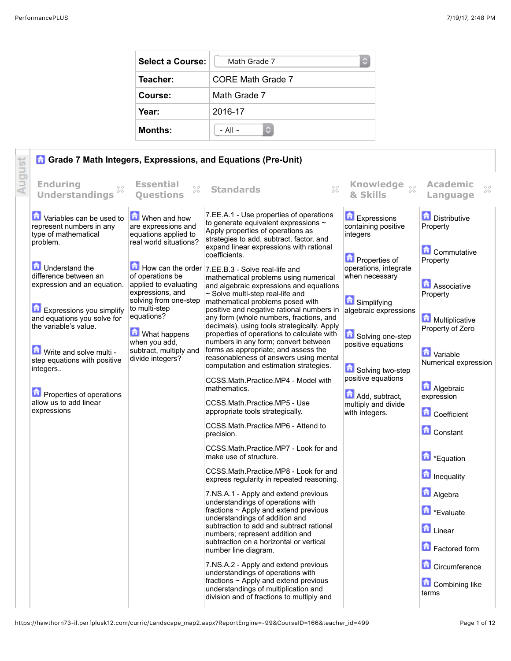| <b>Select a Course:</b> | Math Grade 7<br>С |
|-------------------------|-------------------|
| Teacher:                | CORE Math Grade 7 |
| Course:                 | Math Grade 7      |
| Year:                   | 2016-17           |
| <b>Months:</b>          | $-$ All $-$       |

|                                                                                                                                                                                                                                                                                                                                                                                                                      |                                                                                                                                                                                                                                                                                               | <b>G</b> Grade 7 Math Integers, Expressions, and Equations (Pre-Unit)                                                                                                                                                                                                                                                                                                                                                                                                                                                                                                                                                                                                                                                                                                                                                                                                                                                                                                                                                                                                                                                                                                                                                                                                                                                                                                                                                                                                                                                                                                                                                                                                                               |                                                                                                                                                                                                                                                                                                            |                                                                                                                                                                                                                                                                                                                                                                                                                                |
|----------------------------------------------------------------------------------------------------------------------------------------------------------------------------------------------------------------------------------------------------------------------------------------------------------------------------------------------------------------------------------------------------------------------|-----------------------------------------------------------------------------------------------------------------------------------------------------------------------------------------------------------------------------------------------------------------------------------------------|-----------------------------------------------------------------------------------------------------------------------------------------------------------------------------------------------------------------------------------------------------------------------------------------------------------------------------------------------------------------------------------------------------------------------------------------------------------------------------------------------------------------------------------------------------------------------------------------------------------------------------------------------------------------------------------------------------------------------------------------------------------------------------------------------------------------------------------------------------------------------------------------------------------------------------------------------------------------------------------------------------------------------------------------------------------------------------------------------------------------------------------------------------------------------------------------------------------------------------------------------------------------------------------------------------------------------------------------------------------------------------------------------------------------------------------------------------------------------------------------------------------------------------------------------------------------------------------------------------------------------------------------------------------------------------------------------------|------------------------------------------------------------------------------------------------------------------------------------------------------------------------------------------------------------------------------------------------------------------------------------------------------------|--------------------------------------------------------------------------------------------------------------------------------------------------------------------------------------------------------------------------------------------------------------------------------------------------------------------------------------------------------------------------------------------------------------------------------|
| <b>Enduring</b><br>×<br><b>Understandings</b>                                                                                                                                                                                                                                                                                                                                                                        | <b>Essential</b><br>X<br><b>Ouestions</b>                                                                                                                                                                                                                                                     | $\chi$<br><b>Standards</b>                                                                                                                                                                                                                                                                                                                                                                                                                                                                                                                                                                                                                                                                                                                                                                                                                                                                                                                                                                                                                                                                                                                                                                                                                                                                                                                                                                                                                                                                                                                                                                                                                                                                          | Knowledge xx<br>& Skills                                                                                                                                                                                                                                                                                   | <b>Academic</b><br>X<br>Language                                                                                                                                                                                                                                                                                                                                                                                               |
| Variables can be used to<br>represent numbers in any<br>type of mathematical<br>problem.<br><b>D</b> Understand the<br>difference between an<br>expression and an equation.<br>Expressions you simplify<br>and equations you solve for<br>the variable's value.<br>Write and solve multi -<br>step equations with positive<br>integers<br><b>D</b> Properties of operations<br>allow us to add linear<br>expressions | When and how<br>are expressions and<br>equations applied to<br>real world situations?<br>of operations be<br>applied to evaluating<br>expressions, and<br>solving from one-step<br>to multi-step<br>equations?<br>What happens<br>when you add,<br>subtract, multiply and<br>divide integers? | 7.EE.A.1 - Use properties of operations<br>to generate equivalent expressions $\sim$<br>Apply properties of operations as<br>strategies to add, subtract, factor, and<br>expand linear expressions with rational<br>coefficients.<br>$\blacksquare$ How can the order $ 7.EE.B.3 -$ Solve real-life and<br>mathematical problems using numerical<br>and algebraic expressions and equations<br>$\sim$ Solve multi-step real-life and<br>mathematical problems posed with<br>positive and negative rational numbers in<br>any form (whole numbers, fractions, and<br>decimals), using tools strategically. Apply<br>properties of operations to calculate with<br>numbers in any form; convert between<br>forms as appropriate; and assess the<br>reasonableness of answers using mental<br>computation and estimation strategies.<br>CCSS.Math.Practice.MP4 - Model with<br>mathematics.<br>CCSS.Math.Practice.MP5 - Use<br>appropriate tools strategically.<br>CCSS.Math.Practice.MP6 - Attend to<br>precision.<br>CCSS.Math.Practice.MP7 - Look for and<br>make use of structure.<br>CCSS.Math.Practice.MP8 - Look for and<br>express regularity in repeated reasoning.<br>7.NS.A.1 - Apply and extend previous<br>understandings of operations with<br>fractions ~ Apply and extend previous<br>understandings of addition and<br>subtraction to add and subtract rational<br>numbers; represent addition and<br>subtraction on a horizontal or vertical<br>number line diagram.<br>7.NS.A.2 - Apply and extend previous<br>understandings of operations with<br>fractions $\sim$ Apply and extend previous<br>understandings of multiplication and<br>division and of fractions to multiply and | Expressions<br>containing positive<br>integers<br><b>D</b> Properties of<br>operations, integrate<br>when necessary<br>Simplifying<br>algebraic expressions<br>Solving one-step<br>positive equations<br>Solving two-step<br>positive equations<br>Add, subtract,<br>multiply and divide<br>with integers. | <b>Distributive</b><br>Property<br><b>Commutative</b><br>Property<br>Associative<br>Property<br>Multiplicative<br>Property of Zero<br><b>D</b> Variable<br>Numerical expression<br><b>Algebraic</b><br>expression<br><b>Coefficient</b><br><b>Constant</b><br><b>D</b> *Equation<br><b>n</b> Inequality<br><b>A</b> Algebra<br>Evaluate<br><b>D</b> Linear<br>Factored form<br><b>Circumference</b><br>Combining like<br>terms |
|                                                                                                                                                                                                                                                                                                                                                                                                                      |                                                                                                                                                                                                                                                                                               |                                                                                                                                                                                                                                                                                                                                                                                                                                                                                                                                                                                                                                                                                                                                                                                                                                                                                                                                                                                                                                                                                                                                                                                                                                                                                                                                                                                                                                                                                                                                                                                                                                                                                                     |                                                                                                                                                                                                                                                                                                            |                                                                                                                                                                                                                                                                                                                                                                                                                                |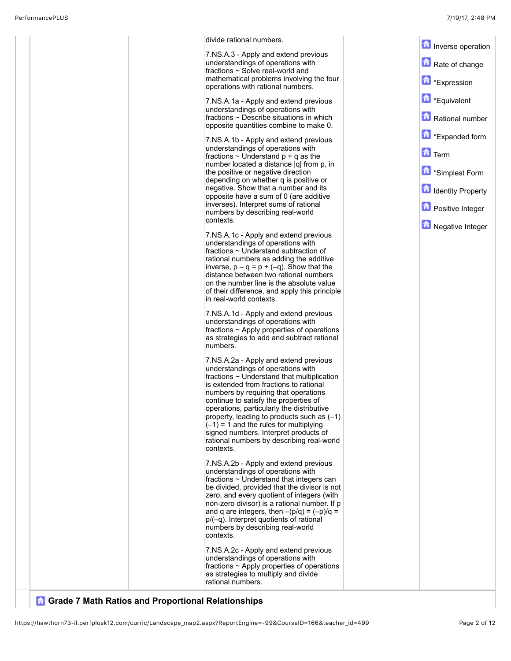| divide rational numbers.                                                                                                                                                                                                                                                                                                                                                                                                                                                                             |                            |
|------------------------------------------------------------------------------------------------------------------------------------------------------------------------------------------------------------------------------------------------------------------------------------------------------------------------------------------------------------------------------------------------------------------------------------------------------------------------------------------------------|----------------------------|
| 7.NS.A.3 - Apply and extend previous                                                                                                                                                                                                                                                                                                                                                                                                                                                                 | Inverse operation          |
| understandings of operations with<br>fractions $\sim$ Solve real-world and                                                                                                                                                                                                                                                                                                                                                                                                                           | Rate of change             |
| mathematical problems involving the four<br>operations with rational numbers.                                                                                                                                                                                                                                                                                                                                                                                                                        | <b>h</b> *Expression       |
| 7.NS.A.1a - Apply and extend previous                                                                                                                                                                                                                                                                                                                                                                                                                                                                | <b>D</b> *Equivalent       |
| understandings of operations with<br>fractions ~ Describe situations in which<br>opposite quantities combine to make 0.                                                                                                                                                                                                                                                                                                                                                                              | Rational number            |
| 7.NS.A.1b - Apply and extend previous                                                                                                                                                                                                                                                                                                                                                                                                                                                                | Expanded form              |
| understandings of operations with<br>fractions $\sim$ Understand $p + q$ as the                                                                                                                                                                                                                                                                                                                                                                                                                      | $\mathbf{\hat{n}}$ Term    |
| number located a distance  q  from p, in<br>the positive or negative direction                                                                                                                                                                                                                                                                                                                                                                                                                       | <b>f</b> *Simplest Form    |
| depending on whether q is positive or<br>negative. Show that a number and its                                                                                                                                                                                                                                                                                                                                                                                                                        | <b>n</b> Identity Property |
| opposite have a sum of 0 (are additive<br>inverses). Interpret sums of rational<br>numbers by describing real-world                                                                                                                                                                                                                                                                                                                                                                                  | <b>D</b> Positive Integer  |
| contexts.                                                                                                                                                                                                                                                                                                                                                                                                                                                                                            | Negative Integer           |
| 7.NS.A.1c - Apply and extend previous<br>understandings of operations with<br>fractions ~ Understand subtraction of<br>rational numbers as adding the additive<br>inverse, $p - q = p + (-q)$ . Show that the<br>distance between two rational numbers<br>on the number line is the absolute value<br>of their difference, and apply this principle<br>in real-world contexts.                                                                                                                       |                            |
| 7.NS.A.1d - Apply and extend previous<br>understandings of operations with<br>fractions $\sim$ Apply properties of operations<br>as strategies to add and subtract rational<br>numbers.                                                                                                                                                                                                                                                                                                              |                            |
| 7.NS.A.2a - Apply and extend previous<br>understandings of operations with<br>fractions $\sim$ Understand that multiplication<br>is extended from fractions to rational<br>numbers by requiring that operations<br>continue to satisfy the properties of<br>operations, particularly the distributive<br>property, leading to products such as $(-1)$<br>$(-1)$ = 1 and the rules for multiplying<br>signed numbers. Interpret products of<br>rational numbers by describing real-world<br>contexts. |                            |
| 7.NS.A.2b - Apply and extend previous<br>understandings of operations with<br>fractions ~ Understand that integers can<br>be divided, provided that the divisor is not<br>zero, and every quotient of integers (with<br>non-zero divisor) is a rational number. If p<br>and q are integers, then $-(p/q) = (-p)/q =$<br>$p/(-q)$ . Interpret quotients of rational<br>numbers by describing real-world<br>contexts.                                                                                  |                            |
| 7.NS.A.2c - Apply and extend previous<br>understandings of operations with<br>fractions $\sim$ Apply properties of operations<br>as strategies to multiply and divide<br>rational numbers.                                                                                                                                                                                                                                                                                                           |                            |

## **G** Grade 7 Math Ratios and Proportional Relationships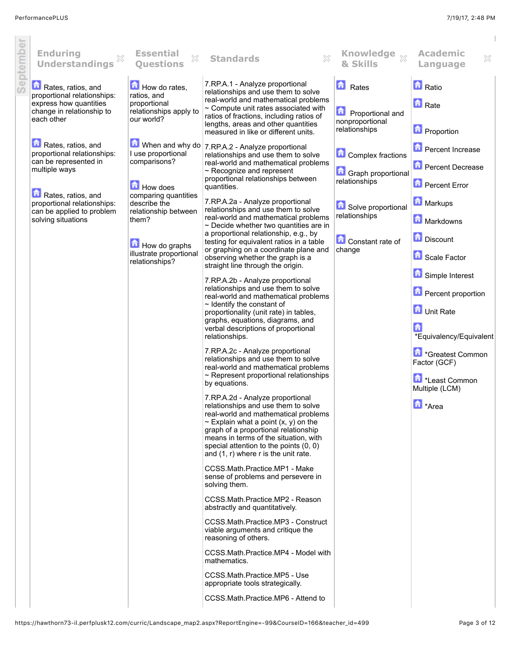i.

 $\bar{1}$ 

| premende | <b>Enduring</b><br><b>Understandings</b>                                                                                                                                                            | <b>Essential</b><br>X<br><b>Ouestions</b>                                                                                                                                                    | X<br><b>Standards</b>                                                                                                                                                                                                                                                                                                                                                                                                                                                                                                                                                                                                                                                                                                                                                                                                                                                                                                                                                                                                                                                                                                                                                                                                                                                                                                                                                                                                                                                                                                                                                                                                                                                                                                                                                              | Knowledge xx<br>& Skills                                                                                                                    | <b>Academic</b><br>×<br>Language                                                                                                                                                                                                                                                                                                              |
|----------|-----------------------------------------------------------------------------------------------------------------------------------------------------------------------------------------------------|----------------------------------------------------------------------------------------------------------------------------------------------------------------------------------------------|------------------------------------------------------------------------------------------------------------------------------------------------------------------------------------------------------------------------------------------------------------------------------------------------------------------------------------------------------------------------------------------------------------------------------------------------------------------------------------------------------------------------------------------------------------------------------------------------------------------------------------------------------------------------------------------------------------------------------------------------------------------------------------------------------------------------------------------------------------------------------------------------------------------------------------------------------------------------------------------------------------------------------------------------------------------------------------------------------------------------------------------------------------------------------------------------------------------------------------------------------------------------------------------------------------------------------------------------------------------------------------------------------------------------------------------------------------------------------------------------------------------------------------------------------------------------------------------------------------------------------------------------------------------------------------------------------------------------------------------------------------------------------------|---------------------------------------------------------------------------------------------------------------------------------------------|-----------------------------------------------------------------------------------------------------------------------------------------------------------------------------------------------------------------------------------------------------------------------------------------------------------------------------------------------|
|          | Rates, ratios, and<br>proportional relationships:<br>express how quantities<br>change in relationship to<br>each other                                                                              | How do rates,<br>ratios, and<br>proportional<br>relationships apply to<br>our world?                                                                                                         | 7.RP.A.1 - Analyze proportional<br>relationships and use them to solve<br>real-world and mathematical problems<br>$\sim$ Compute unit rates associated with<br>ratios of fractions, including ratios of<br>lengths, areas and other quantities                                                                                                                                                                                                                                                                                                                                                                                                                                                                                                                                                                                                                                                                                                                                                                                                                                                                                                                                                                                                                                                                                                                                                                                                                                                                                                                                                                                                                                                                                                                                     | <b>Rates</b><br><b>Proportional and</b><br>nonproportional<br>relationships                                                                 | <b>n</b> Ratio<br><b>n</b> Rate                                                                                                                                                                                                                                                                                                               |
|          | Rates, ratios, and<br>proportional relationships:<br>can be represented in<br>multiple ways<br>Rates, ratios, and<br>proportional relationships:<br>can be applied to problem<br>solving situations | I use proportional<br>comparisons?<br>How does<br>comparing quantities<br>describe the<br>relationship between<br>them?<br>$\Box$ How do graphs<br>illustrate proportional<br>relationships? | measured in like or different units.<br><b>D</b> When and why do $7 \text{ RPA.2}$ - Analyze proportional<br>relationships and use them to solve<br>real-world and mathematical problems<br>$\sim$ Recognize and represent<br>proportional relationships between<br>quantities.<br>7.RP.A.2a - Analyze proportional<br>relationships and use them to solve<br>real-world and mathematical problems<br>$\sim$ Decide whether two quantities are in<br>a proportional relationship, e.g., by<br>testing for equivalent ratios in a table<br>or graphing on a coordinate plane and<br>observing whether the graph is a<br>straight line through the origin.<br>7.RP.A.2b - Analyze proportional<br>relationships and use them to solve<br>real-world and mathematical problems<br>$\sim$ Identify the constant of<br>proportionality (unit rate) in tables,<br>graphs, equations, diagrams, and<br>verbal descriptions of proportional<br>relationships.<br>7.RP.A.2c - Analyze proportional<br>relationships and use them to solve<br>real-world and mathematical problems<br>$\sim$ Represent proportional relationships<br>by equations.<br>7.RP.A.2d - Analyze proportional<br>relationships and use them to solve<br>real-world and mathematical problems<br>$\sim$ Explain what a point (x, y) on the<br>graph of a proportional relationship<br>means in terms of the situation, with<br>special attention to the points (0, 0)<br>and (1, r) where r is the unit rate.<br>CCSS.Math.Practice.MP1 - Make<br>sense of problems and persevere in<br>solving them.<br>CCSS.Math.Practice.MP2 - Reason<br>abstractly and quantitatively.<br>CCSS.Math.Practice.MP3 - Construct<br>viable arguments and critique the<br>reasoning of others.<br>CCSS.Math.Practice.MP4 - Model with | <b>Complex fractions</b><br>Graph proportional<br>relationships<br>Solve proportional<br>relationships<br><b>Constant rate of</b><br>change | <b>D</b> Proportion<br>Percent Increase<br><b>Percent Decrease</b><br><b>D</b> Percent Error<br><b>Markups</b><br>Markdowns<br>Discount<br>Scale Factor<br>Simple Interest<br><b>D</b> Percent proportion<br>Unit Rate<br>A<br>*Equivalency/Equivalent<br>Greatest Common<br>Factor (GCF)<br>Least Common<br>Multiple (LCM)<br><b>h</b> *Area |
|          |                                                                                                                                                                                                     |                                                                                                                                                                                              | mathematics.<br>CCSS.Math.Practice.MP5 - Use<br>appropriate tools strategically.<br>CCSS.Math.Practice.MP6 - Attend to                                                                                                                                                                                                                                                                                                                                                                                                                                                                                                                                                                                                                                                                                                                                                                                                                                                                                                                                                                                                                                                                                                                                                                                                                                                                                                                                                                                                                                                                                                                                                                                                                                                             |                                                                                                                                             |                                                                                                                                                                                                                                                                                                                                               |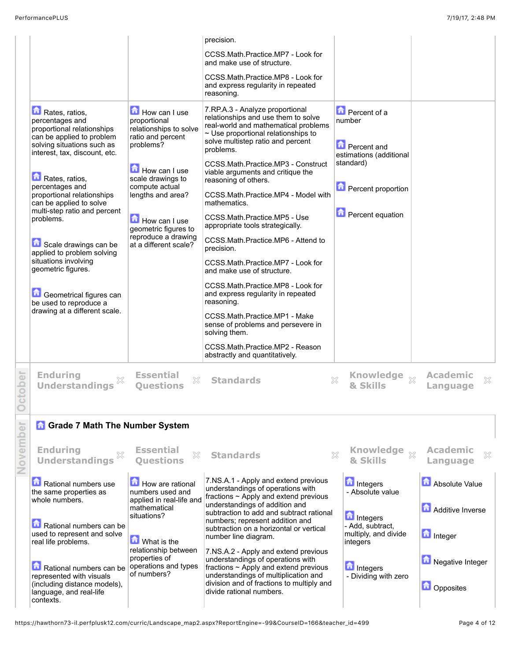|          |                                                                                                                                                                                                                                                                                                                                                                                                                                                                                                   |                                                                                                                                                                                                                                                                 | precision.                                                                                                                                                                                                                                                                                                                                                                                                                                                                                                                                                                                                                                                                                                                                                                                                         |                                                                                                                                                  |                                                        |
|----------|---------------------------------------------------------------------------------------------------------------------------------------------------------------------------------------------------------------------------------------------------------------------------------------------------------------------------------------------------------------------------------------------------------------------------------------------------------------------------------------------------|-----------------------------------------------------------------------------------------------------------------------------------------------------------------------------------------------------------------------------------------------------------------|--------------------------------------------------------------------------------------------------------------------------------------------------------------------------------------------------------------------------------------------------------------------------------------------------------------------------------------------------------------------------------------------------------------------------------------------------------------------------------------------------------------------------------------------------------------------------------------------------------------------------------------------------------------------------------------------------------------------------------------------------------------------------------------------------------------------|--------------------------------------------------------------------------------------------------------------------------------------------------|--------------------------------------------------------|
|          |                                                                                                                                                                                                                                                                                                                                                                                                                                                                                                   |                                                                                                                                                                                                                                                                 | CCSS.Math.Practice.MP7 - Look for<br>and make use of structure.                                                                                                                                                                                                                                                                                                                                                                                                                                                                                                                                                                                                                                                                                                                                                    |                                                                                                                                                  |                                                        |
|          |                                                                                                                                                                                                                                                                                                                                                                                                                                                                                                   |                                                                                                                                                                                                                                                                 | CCSS.Math.Practice.MP8 - Look for<br>and express regularity in repeated<br>reasoning.                                                                                                                                                                                                                                                                                                                                                                                                                                                                                                                                                                                                                                                                                                                              |                                                                                                                                                  |                                                        |
|          | Rates, ratios,<br>percentages and<br>proportional relationships<br>can be applied to problem<br>solving situations such as<br>interest, tax, discount, etc.<br>Rates, ratios,<br>percentages and<br>proportional relationships<br>can be applied to solve<br>multi-step ratio and percent<br>problems.<br>Scale drawings can be<br>applied to problem solving<br>situations involving<br>geometric figures.<br>Geometrical figures can<br>be used to reproduce a<br>drawing at a different scale. | How can I use<br>proportional<br>relationships to solve<br>ratio and percent<br>problems?<br>How can I use<br>scale drawings to<br>compute actual<br>lengths and area?<br>How can I use<br>geometric figures to<br>reproduce a drawing<br>at a different scale? | 7.RP.A.3 - Analyze proportional<br>relationships and use them to solve<br>real-world and mathematical problems<br>~ Use proportional relationships to<br>solve multistep ratio and percent<br>problems.<br>CCSS.Math.Practice.MP3 - Construct<br>viable arguments and critique the<br>reasoning of others.<br>CCSS.Math.Practice.MP4 - Model with<br>mathematics.<br>CCSS.Math.Practice.MP5 - Use<br>appropriate tools strategically.<br>CCSS.Math.Practice.MP6 - Attend to<br>precision.<br>CCSS.Math.Practice.MP7 - Look for<br>and make use of structure.<br>CCSS.Math.Practice.MP8 - Look for<br>and express regularity in repeated<br>reasoning.<br>CCSS.Math.Practice.MP1 - Make<br>sense of problems and persevere in<br>solving them.<br>CCSS.Math.Practice.MP2 - Reason<br>abstractly and quantitatively. | Percent of a<br>number<br><b>Percent and</b><br>estimations (additional<br>standard)<br><b>D</b> Percent proportion<br><b>D</b> Percent equation |                                                        |
| ctober   | <b>Enduring</b><br><b>Understandings</b>                                                                                                                                                                                                                                                                                                                                                                                                                                                          | <b>Essential</b><br>X<br><b>Ouestions</b>                                                                                                                                                                                                                       | X<br><b>Standards</b>                                                                                                                                                                                                                                                                                                                                                                                                                                                                                                                                                                                                                                                                                                                                                                                              | Knowledge xx<br>& Skills                                                                                                                         | <b>Academic</b><br>X<br>Language                       |
|          | <b>n</b> Grade 7 Math The Number System                                                                                                                                                                                                                                                                                                                                                                                                                                                           |                                                                                                                                                                                                                                                                 |                                                                                                                                                                                                                                                                                                                                                                                                                                                                                                                                                                                                                                                                                                                                                                                                                    |                                                                                                                                                  |                                                        |
| November | <b>Enduring</b><br><b>Understandings</b>                                                                                                                                                                                                                                                                                                                                                                                                                                                          | <b>Essential</b><br>$\gtrsim$<br><b>Ouestions</b>                                                                                                                                                                                                               | <b>Standards</b>                                                                                                                                                                                                                                                                                                                                                                                                                                                                                                                                                                                                                                                                                                                                                                                                   | Knowledge xx<br>×<br>& Skills                                                                                                                    | <b>Academic</b><br>X<br>Language                       |
|          | Rational numbers use<br>the same properties as<br>whole numbers.<br>Rational numbers can be<br>used to represent and solve<br>real life problems.                                                                                                                                                                                                                                                                                                                                                 | How are rational<br>numbers used and<br>applied in real-life and<br>mathematical<br>situations?<br><b>M</b> What is the<br>relationship between                                                                                                                 | 7.NS.A.1 - Apply and extend previous<br>understandings of operations with<br>fractions $\sim$ Apply and extend previous<br>understandings of addition and<br>subtraction to add and subtract rational<br>numbers; represent addition and<br>subtraction on a horizontal or vertical<br>number line diagram.                                                                                                                                                                                                                                                                                                                                                                                                                                                                                                        | <b>n</b> Integers<br>- Absolute value<br><b>n</b> Integers<br>- Add, subtract,<br>multiply, and divide<br>integers                               | Absolute Value<br>Additive Inverse<br><b>h</b> Integer |
|          | Rational numbers can be<br>represented with visuals<br>(including distance models),<br>language, and real-life<br>contexts.                                                                                                                                                                                                                                                                                                                                                                       | properties of<br>operations and types<br>of numbers?                                                                                                                                                                                                            | 7.NS.A.2 - Apply and extend previous<br>understandings of operations with<br>fractions $\sim$ Apply and extend previous<br>understandings of multiplication and<br>division and of fractions to multiply and<br>divide rational numbers.                                                                                                                                                                                                                                                                                                                                                                                                                                                                                                                                                                           | Integers<br>- Dividing with zero                                                                                                                 | Negative Integer<br><b>D</b> Opposites                 |

https://hawthorn73-il.perfplusk12.com/curric/Landscape\_map2.aspx?ReportEngine=-99&CourseID=166&teacher\_id=499 Page 4 of 12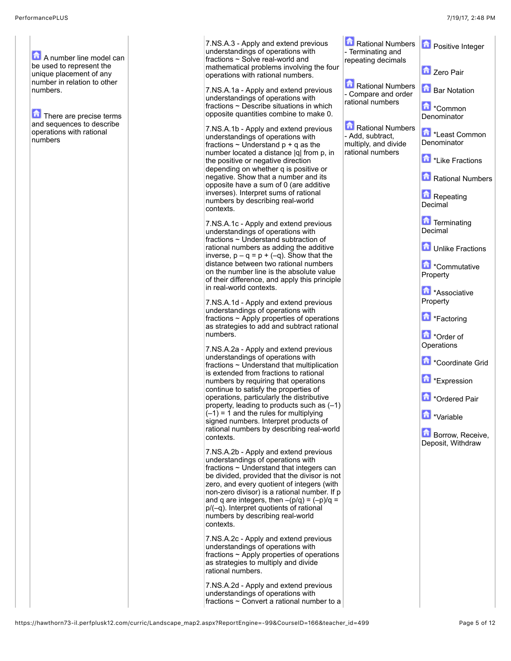7.NS.A.3 - Apply and extend previor understandings of operations with fractions ~ Solve real-world and mathematical problems involving the operations with rational numbers. 7.NS.A.1a - Apply and extend previous understandings of operations with fractions  $\sim$  Describe situations in wh opposite quantities combine to make 7.NS.A.1b - Apply and extend previous understandings of operations with fractions  $\sim$  Understand  $p + q$  as the number located a distance  $|q|$  from the positive or negative direction depending on whether q is positive negative. Show that a number and opposite have a sum of 0 (are addition inverses). Interpret sums of rational numbers by describing real-world 7.NS.A.1c - Apply and extend previous understandings of operations with fractions  $\sim$  Understand subtraction rational numbers as adding the addi inverse,  $p - q = p + (-q)$ . Show that distance between two rational numb on the number line is the absolute v of their difference, and apply this pr 7.NS.A.1d - Apply and extend previous understandings of operations with fractions  $\sim$  Apply properties of operations as strategies to add and subtract rat 7.NS.A.2a - Apply and extend previous understandings of operations with fractions  $\sim$  Understand that multiplic is extended from fractions to rational numbers by requiring that operation continue to satisfy the properties of operations, particularly the distributi property, leading to products such a Rational Numbers - Terminating and repeating decimals Rational Numbers - Compare and order rational numbers Rational Numbers - Add, subtract, multiply, and divide rational numbers Positive Integer Zero Pair Bar Notation \*Common Denominator \*Least Common Denominator \*Like Fractions  $ers$ Repeating Decimal **Terminating** Decimal Unlike Fractions \*Commutative Property \*Associative Property \*Factoring \*Order of **Operations** \*Coordinate Grid \*Expression \*Ordered Pair \*Variable Borrow, Receive, Deposit, Withdraw

7.NS.A.2d - Apply and extend previous understandings of operations with fractions  $\sim$  Convert a rational number to a

| PerformancePLUS                                                                                                                                                                                                          |                                                                                                                                                                                                                                                                                                                                                                                                                                                                                                                                                                                                                                                                                                                                                                                                                                                                                                                                                                                                                                                                                                                                                                                                                                                                                                                                                                                                                                                                                                                                                                                                                                                                                                                                                                                                                                                                                                                                 |                                                                                                                                                                                                                | 7/19/17, 2:48 PM                                                                                                                                                                                                                                                                                                                                                                                                                                                                                                               |
|--------------------------------------------------------------------------------------------------------------------------------------------------------------------------------------------------------------------------|---------------------------------------------------------------------------------------------------------------------------------------------------------------------------------------------------------------------------------------------------------------------------------------------------------------------------------------------------------------------------------------------------------------------------------------------------------------------------------------------------------------------------------------------------------------------------------------------------------------------------------------------------------------------------------------------------------------------------------------------------------------------------------------------------------------------------------------------------------------------------------------------------------------------------------------------------------------------------------------------------------------------------------------------------------------------------------------------------------------------------------------------------------------------------------------------------------------------------------------------------------------------------------------------------------------------------------------------------------------------------------------------------------------------------------------------------------------------------------------------------------------------------------------------------------------------------------------------------------------------------------------------------------------------------------------------------------------------------------------------------------------------------------------------------------------------------------------------------------------------------------------------------------------------------------|----------------------------------------------------------------------------------------------------------------------------------------------------------------------------------------------------------------|--------------------------------------------------------------------------------------------------------------------------------------------------------------------------------------------------------------------------------------------------------------------------------------------------------------------------------------------------------------------------------------------------------------------------------------------------------------------------------------------------------------------------------|
| A number line model can<br>be used to represent the<br>unique placement of any<br>number in relation to other<br>numbers.<br>There are precise terms<br>and sequences to describe<br>operations with rational<br>numbers | 7.NS.A.3 - Apply and extend previous<br>understandings of operations with<br>fractions ~ Solve real-world and<br>mathematical problems involving the four<br>operations with rational numbers.<br>7.NS.A.1a - Apply and extend previous<br>understandings of operations with<br>fractions $\sim$ Describe situations in which<br>opposite quantities combine to make 0.<br>7.NS.A.1b - Apply and extend previous<br>understandings of operations with<br>fractions $\sim$ Understand $p + q$ as the<br>number located a distance  q  from p, in<br>the positive or negative direction<br>depending on whether q is positive or<br>negative. Show that a number and its<br>opposite have a sum of 0 (are additive<br>inverses). Interpret sums of rational<br>numbers by describing real-world<br>contexts.<br>7.NS.A.1c - Apply and extend previous<br>understandings of operations with<br>fractions ~ Understand subtraction of<br>rational numbers as adding the additive<br>inverse, $p - q = p + (-q)$ . Show that the<br>distance between two rational numbers<br>on the number line is the absolute value<br>of their difference, and apply this principle<br>in real-world contexts.<br>7.NS.A.1d - Apply and extend previous<br>understandings of operations with<br>fractions $\sim$ Apply properties of operations<br>as strategies to add and subtract rational<br>numbers.<br>7.NS.A.2a - Apply and extend previous<br>understandings of operations with<br>fractions ~ Understand that multiplication<br>is extended from fractions to rational<br>numbers by requiring that operations<br>continue to satisfy the properties of<br>operations, particularly the distributive<br>property, leading to products such as (-1)<br>$(-1) = 1$ and the rules for multiplying<br>signed numbers. Interpret products of<br>rational numbers by describing real-world<br>contexts.<br>7 NR A 2h Annly and extend previous | Rational Numbers<br>- Terminating and<br>repeating decimals<br>Rational Numbers<br>- Compare and order<br>rational numbers<br>Rational Numbers<br>- Add, subtract,<br>multiply, and divide<br>rational numbers | <b>D</b> Positive Integer<br>Zero Pair<br><b>Bar Notation</b><br><b>Li</b> *Common<br>Denominator<br>Least Common<br>Denominator<br>Like Fractions<br>Rational Numbers<br><b>Repeating</b><br>Decimal<br><b>Terminating</b><br>Decimal<br>Unlike Fractions<br><b>Commutative</b><br>Property<br>Associative<br>Property<br><b>T</b> *Factoring<br><b>D</b> *Order of<br>Operations<br>Coordinate Grid<br><b>T</b> *Expression<br><b>D</b> *Ordered Pair<br><b>M</b> *Variable<br><b>Borrow</b> , Receive,<br>Deposit, Withdraw |

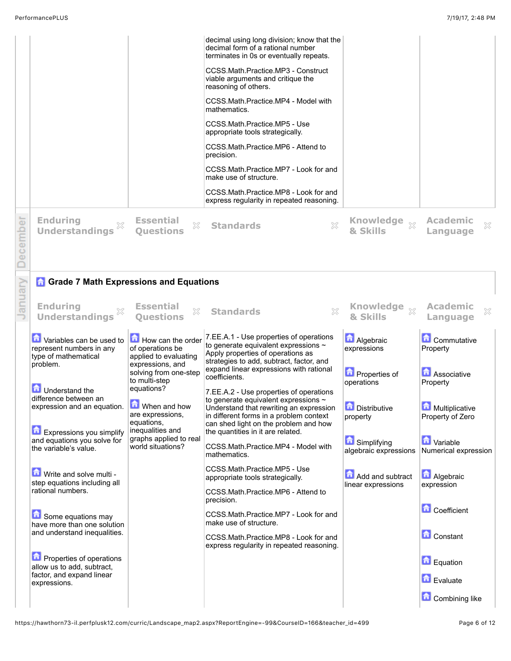| <b>Enduring</b><br><b>Understandings</b> | <b>Essential</b><br>Ouestions | CCSS.Math.Practice.MP8 - Look for and<br>express regularity in repeated reasoning.<br>X<br>X<br><b>Standards</b>           | <b>Knowledge</b><br>$\chi$<br>& Skills | <b>Academic</b><br>Language | X |
|------------------------------------------|-------------------------------|----------------------------------------------------------------------------------------------------------------------------|----------------------------------------|-----------------------------|---|
|                                          |                               | CCSS.Math.Practice.MP7 - Look for and<br>make use of structure.                                                            |                                        |                             |   |
|                                          |                               | CCSS.Math.Practice.MP6 - Attend to<br>precision.                                                                           |                                        |                             |   |
|                                          |                               | CCSS.Math.Practice.MP5 - Use<br>appropriate tools strategically.                                                           |                                        |                             |   |
|                                          |                               | CCSS.Math.Practice.MP4 - Model with<br>mathematics.                                                                        |                                        |                             |   |
|                                          |                               | CCSS.Math.Practice.MP3 - Construct<br>viable arguments and critique the<br>reasoning of others.                            |                                        |                             |   |
|                                          |                               | decimal using long division; know that the<br>decimal form of a rational number<br>terminates in 0s or eventually repeats. |                                        |                             |   |

Decem anuary

## **Enduring Understandings Essential Questions Standards Knowledge & Skills Academic Language Contables can be used to** represent numbers in any type of mathematical problem. **Understand the** difference between an expression and an equation. **Expressions you simplify** and equations you solve for the variable's value. How can the order 7.EE.A.1 - Use properties of operations of operations be applied to evaluating expressions, and solving from one-step to multi-step equations? **M** When and how are expressions, equations, inequalities and graphs applied to real world situations? to generate equivalent expressions  $\sim$ Apply properties of operations as strategies to add, subtract, factor, and expand linear expressions with rational coefficients. 7.EE.A.2 - Use properties of operations to generate equivalent expressions  $\sim$ Understand that rewriting an expression in different forms in a problem context can shed light on the problem and how the quantities in it are related. CCSS.Math.Practice.MP4 - Model with mathematics. **Algebraic** expressions **D** Properties of operations **Distributive** property **G** Simplifying algebraic expressions **Commutative** Property **Associative** Property **Multiplicative** Property of Zero **D** Variable Numerical expression

Write and solve multi step equations including all rational numbers.

**Grade 7 Math Expressions and Equations** 

Some equations may have more than one solution and understand inequalities.

**n** Properties of operations allow us to add, subtract, factor, and expand linear expressions.

CCSS.Math.Practice.MP5 - Use appropriate tools strategically. CCSS.Math.Practice.MP6 - Attend to precision. CCSS.Math.Practice.MP7 - Look for and make use of structure. CCSS.Math.Practice.MP8 - Look for and express regularity in repeated reasoning. **Add and subtract** linear expressions **Algebraic** expression **Coefficient Constant** Equation

**Combining like** 

**E**valuate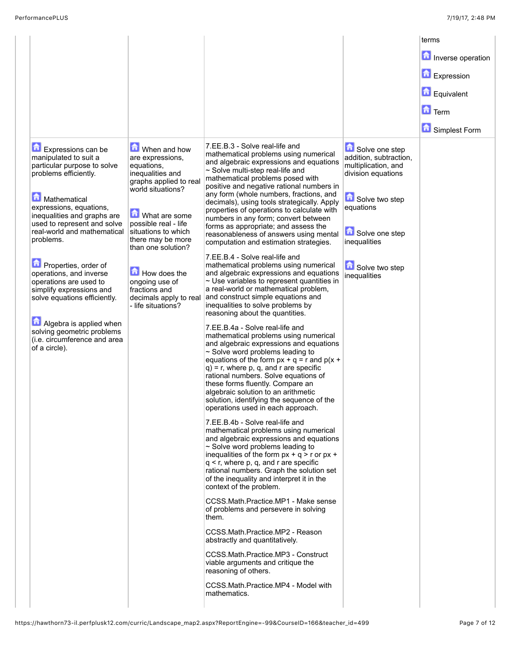|                                                                                                                                                       |                                                                                                                   |                                                                                                                                                                                                                                                                                                                                                                                                                                                                  |                                                                                                                      | terms               |
|-------------------------------------------------------------------------------------------------------------------------------------------------------|-------------------------------------------------------------------------------------------------------------------|------------------------------------------------------------------------------------------------------------------------------------------------------------------------------------------------------------------------------------------------------------------------------------------------------------------------------------------------------------------------------------------------------------------------------------------------------------------|----------------------------------------------------------------------------------------------------------------------|---------------------|
|                                                                                                                                                       |                                                                                                                   |                                                                                                                                                                                                                                                                                                                                                                                                                                                                  |                                                                                                                      | Inverse operation   |
|                                                                                                                                                       |                                                                                                                   |                                                                                                                                                                                                                                                                                                                                                                                                                                                                  |                                                                                                                      | <b>D</b> Expression |
|                                                                                                                                                       |                                                                                                                   |                                                                                                                                                                                                                                                                                                                                                                                                                                                                  |                                                                                                                      | <b>D</b> Equivalent |
|                                                                                                                                                       |                                                                                                                   |                                                                                                                                                                                                                                                                                                                                                                                                                                                                  |                                                                                                                      | $\Box$ Term         |
|                                                                                                                                                       |                                                                                                                   |                                                                                                                                                                                                                                                                                                                                                                                                                                                                  |                                                                                                                      | Simplest Form       |
| <b>Expressions can be</b><br>manipulated to suit a<br>particular purpose to solve<br>problems efficiently.<br>Mathematical<br>expressions, equations, | When and how<br>are expressions,<br>equations,<br>inequalities and<br>graphs applied to real<br>world situations? | 7.EE.B.3 - Solve real-life and<br>mathematical problems using numerical<br>and algebraic expressions and equations<br>$\sim$ Solve multi-step real-life and<br>mathematical problems posed with<br>positive and negative rational numbers in<br>any form (whole numbers, fractions, and<br>decimals), using tools strategically. Apply                                                                                                                           | Solve one step<br>addition, subtraction,<br>multiplication, and<br>division equations<br>Solve two step<br>equations |                     |
| inequalities and graphs are<br>used to represent and solve<br>real-world and mathematical<br>problems.                                                | What are some<br>possible real - life<br>situations to which<br>there may be more<br>than one solution?           | properties of operations to calculate with<br>numbers in any form; convert between<br>forms as appropriate; and assess the<br>reasonableness of answers using mental<br>computation and estimation strategies.                                                                                                                                                                                                                                                   | Solve one step<br>inequalities                                                                                       |                     |
| Properties, order of<br>operations, and inverse<br>operations are used to<br>simplify expressions and<br>solve equations efficiently.                 | How does the<br>ongoing use of<br>fractions and<br>decimals apply to real<br>- life situations?                   | 7.EE.B.4 - Solve real-life and<br>mathematical problems using numerical<br>and algebraic expressions and equations<br>$\sim$ Use variables to represent quantities in<br>a real-world or mathematical problem,<br>and construct simple equations and<br>inequalities to solve problems by<br>reasoning about the quantities.                                                                                                                                     | Solve two step<br>inequalities                                                                                       |                     |
| Algebra is applied when<br>solving geometric problems<br>(i.e. circumference and area<br>of a circle).                                                |                                                                                                                   | 7.EE.B.4a - Solve real-life and<br>mathematical problems using numerical<br>and algebraic expressions and equations<br>$\sim$ Solve word problems leading to<br>equations of the form $px + q = r$ and $p(x +$<br>$q$ ) = r, where p, q, and r are specific<br>rational numbers. Solve equations of<br>these forms fluently. Compare an<br>algebraic solution to an arithmetic<br>solution, identifying the sequence of the<br>operations used in each approach. |                                                                                                                      |                     |
|                                                                                                                                                       |                                                                                                                   | 7.EE.B.4b - Solve real-life and<br>mathematical problems using numerical<br>and algebraic expressions and equations<br>~ Solve word problems leading to<br>inequalities of the form $px + q > r$ or $px +$<br>$q < r$ , where p, q, and r are specific<br>rational numbers. Graph the solution set<br>of the inequality and interpret it in the<br>context of the problem.                                                                                       |                                                                                                                      |                     |
|                                                                                                                                                       |                                                                                                                   | CCSS.Math.Practice.MP1 - Make sense<br>of problems and persevere in solving<br>them.                                                                                                                                                                                                                                                                                                                                                                             |                                                                                                                      |                     |
|                                                                                                                                                       |                                                                                                                   | CCSS.Math.Practice.MP2 - Reason<br>abstractly and quantitatively.                                                                                                                                                                                                                                                                                                                                                                                                |                                                                                                                      |                     |
|                                                                                                                                                       |                                                                                                                   | CCSS.Math.Practice.MP3 - Construct<br>viable arguments and critique the<br>reasoning of others.                                                                                                                                                                                                                                                                                                                                                                  |                                                                                                                      |                     |
|                                                                                                                                                       |                                                                                                                   | CCSS.Math.Practice.MP4 - Model with<br>mathematics.                                                                                                                                                                                                                                                                                                                                                                                                              |                                                                                                                      |                     |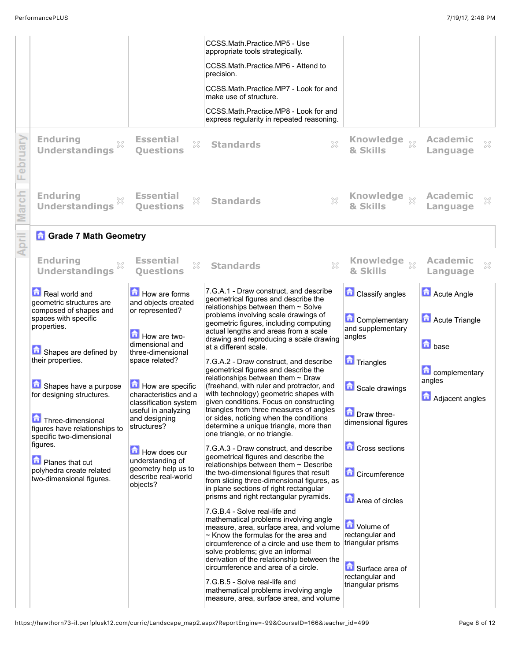| <b>Enduring</b><br><b>Understandings</b>                                                                                                                                                                                                                                                                                                                                                 | <b>Essential</b><br>×<br><b>Ouestions</b>                                                                                                                                                                                                                                                                                                                    | CCSS.Math.Practice.MP5 - Use<br>appropriate tools strategically.<br>CCSS.Math.Practice.MP6 - Attend to<br>precision.<br>CCSS.Math.Practice.MP7 - Look for and<br>make use of structure.<br>CCSS.Math.Practice.MP8 - Look for and<br>express regularity in repeated reasoning.<br>$\chi$<br><b>Standards</b>                                                                                                                                                                                                                                                                                                                                                                                                                                                                                                                                                                                                                                                                                                                                                                                                                                                                                                                                                                                                                                                                                                                                                                                                                                        | <b>Knowledge</b><br>$\mathbb{X}$<br>& Skills                                                                                                                                                                                                                                                                             | <b>Academic</b><br>$\gtrsim$<br>Language                                                     |
|------------------------------------------------------------------------------------------------------------------------------------------------------------------------------------------------------------------------------------------------------------------------------------------------------------------------------------------------------------------------------------------|--------------------------------------------------------------------------------------------------------------------------------------------------------------------------------------------------------------------------------------------------------------------------------------------------------------------------------------------------------------|----------------------------------------------------------------------------------------------------------------------------------------------------------------------------------------------------------------------------------------------------------------------------------------------------------------------------------------------------------------------------------------------------------------------------------------------------------------------------------------------------------------------------------------------------------------------------------------------------------------------------------------------------------------------------------------------------------------------------------------------------------------------------------------------------------------------------------------------------------------------------------------------------------------------------------------------------------------------------------------------------------------------------------------------------------------------------------------------------------------------------------------------------------------------------------------------------------------------------------------------------------------------------------------------------------------------------------------------------------------------------------------------------------------------------------------------------------------------------------------------------------------------------------------------------|--------------------------------------------------------------------------------------------------------------------------------------------------------------------------------------------------------------------------------------------------------------------------------------------------------------------------|----------------------------------------------------------------------------------------------|
| <b>Enduring</b><br><b>Understandings</b>                                                                                                                                                                                                                                                                                                                                                 | <b>Essential</b><br>X<br><b>Ouestions</b>                                                                                                                                                                                                                                                                                                                    | X<br><b>Standards</b>                                                                                                                                                                                                                                                                                                                                                                                                                                                                                                                                                                                                                                                                                                                                                                                                                                                                                                                                                                                                                                                                                                                                                                                                                                                                                                                                                                                                                                                                                                                              | Knowledge xx<br>& Skills                                                                                                                                                                                                                                                                                                 | <b>Academic</b><br>×<br>Language                                                             |
| <b>A</b> Grade 7 Math Geometry<br><b>Enduring</b><br><b>Understandings</b>                                                                                                                                                                                                                                                                                                               | <b>Essential</b><br>X<br><b>Ouestions</b>                                                                                                                                                                                                                                                                                                                    | $\mathbb{X}$<br><b>Standards</b>                                                                                                                                                                                                                                                                                                                                                                                                                                                                                                                                                                                                                                                                                                                                                                                                                                                                                                                                                                                                                                                                                                                                                                                                                                                                                                                                                                                                                                                                                                                   | Knowledge xx<br>& Skills                                                                                                                                                                                                                                                                                                 | <b>Academic</b><br>×<br>Language                                                             |
| Real world and<br>geometric structures are<br>composed of shapes and<br>spaces with specific<br>properties.<br>Shapes are defined by<br>their properties.<br>Shapes have a purpose<br>for designing structures.<br>Three-dimensional<br>figures have relationships to<br>specific two-dimensional<br>figures.<br>Planes that cut<br>polyhedra create related<br>two-dimensional figures. | How are forms<br>and objects created<br>or represented?<br>How are two-<br>dimensional and<br>three-dimensional<br>space related?<br>How are specific<br>characteristics and a<br>classification system<br>useful in analyzing<br>and designing<br>structures?<br>How does our<br>understanding of<br>geometry help us to<br>describe real-world<br>objects? | 7.G.A.1 - Draw construct, and describe<br>geometrical figures and describe the<br>relationships between them $\sim$ Solve<br>problems involving scale drawings of<br>geometric figures, including computing<br>actual lengths and areas from a scale<br>drawing and reproducing a scale drawing<br>at a different scale.<br>7.G.A.2 - Draw construct, and describe<br>geometrical figures and describe the<br>relationships between them $\sim$ Draw<br>(freehand, with ruler and protractor, and<br>with technology) geometric shapes with<br>given conditions. Focus on constructing<br>triangles from three measures of angles<br>or sides, noticing when the conditions<br>determine a unique triangle, more than<br>one triangle, or no triangle.<br>7.G.A.3 - Draw construct, and describe<br>geometrical figures and describe the<br>relationships between them $\sim$ Describe<br>the two-dimensional figures that result<br>from slicing three-dimensional figures, as<br>in plane sections of right rectangular<br>prisms and right rectangular pyramids.<br>7.G.B.4 - Solve real-life and<br>mathematical problems involving angle<br>measure, area, surface area, and volume<br>$\sim$ Know the formulas for the area and<br>circumference of a circle and use them to triangular prisms<br>solve problems; give an informal<br>derivation of the relationship between the<br>circumference and area of a circle.<br>7.G.B.5 - Solve real-life and<br>mathematical problems involving angle<br>measure, area, surface area, and volume | <b>Classify angles</b><br><b>Complementary</b><br>and supplementary<br>angles<br><b>Triangles</b><br>Scale drawings<br>Draw three-<br>dimensional figures<br><b>Cross sections</b><br><b>Circumference</b><br>Area of circles<br>Volume of<br>rectangular and<br>Surface area of<br>rectangular and<br>triangular prisms | Acute Angle<br>Acute Triangle<br><b>h</b> base<br>complementary<br>angles<br>Adjacent angles |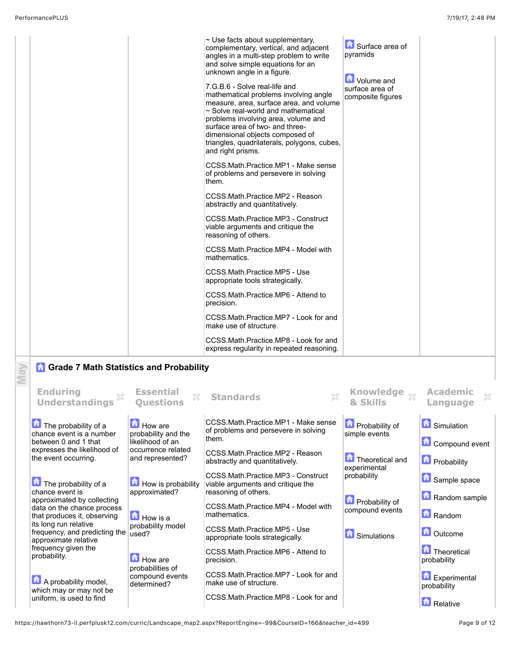May

| $\sim$ Use facts about supplementary,<br>Surface area of<br>complementary, vertical, and adjacent<br>pyramids<br>angles in a multi-step problem to write<br>and solve simple equations for an<br>unknown angle in a figure.<br>Volume and<br>7.G.B.6 - Solve real-life and<br>surface area of<br>mathematical problems involving angle<br>composite figures<br>measure, area, surface area, and volume<br>$\sim$ Solve real-world and mathematical<br>problems involving area, volume and<br>surface area of two- and three-<br>dimensional objects composed of<br>triangles, quadrilaterals, polygons, cubes,<br>and right prisms.<br>CCSS.Math.Practice.MP1 - Make sense<br>of problems and persevere in solving<br>them.<br>CCSS.Math.Practice.MP2 - Reason<br>abstractly and quantitatively.<br>CCSS.Math.Practice.MP3 - Construct<br>viable arguments and critique the<br>reasoning of others.<br>CCSS.Math.Practice.MP4 - Model with<br>mathematics.<br>CCSS.Math.Practice.MP5 - Use<br>appropriate tools strategically.<br>CCSS.Math.Practice.MP6 - Attend to<br>precision.<br>CCSS.Math.Practice.MP7 - Look for and<br>make use of structure.<br>CCSS.Math.Practice.MP8 - Look for and<br>express regularity in repeated reasoning. |  |
|---------------------------------------------------------------------------------------------------------------------------------------------------------------------------------------------------------------------------------------------------------------------------------------------------------------------------------------------------------------------------------------------------------------------------------------------------------------------------------------------------------------------------------------------------------------------------------------------------------------------------------------------------------------------------------------------------------------------------------------------------------------------------------------------------------------------------------------------------------------------------------------------------------------------------------------------------------------------------------------------------------------------------------------------------------------------------------------------------------------------------------------------------------------------------------------------------------------------------------------------|--|
|---------------------------------------------------------------------------------------------------------------------------------------------------------------------------------------------------------------------------------------------------------------------------------------------------------------------------------------------------------------------------------------------------------------------------------------------------------------------------------------------------------------------------------------------------------------------------------------------------------------------------------------------------------------------------------------------------------------------------------------------------------------------------------------------------------------------------------------------------------------------------------------------------------------------------------------------------------------------------------------------------------------------------------------------------------------------------------------------------------------------------------------------------------------------------------------------------------------------------------------------|--|

## **G** Grade 7 Math Statistics and Probability

| <b>Enduring</b><br><b>Understandings</b>                                    | <b>Essential</b><br>X<br><b>Ouestions</b>                    | $\chi$<br><b>Standards</b>                                                           | <b>Knowledge</b><br>$\bar{\mathbb{X}}$<br>& Skills | <b>Academic</b><br>Language          |
|-----------------------------------------------------------------------------|--------------------------------------------------------------|--------------------------------------------------------------------------------------|----------------------------------------------------|--------------------------------------|
| $\Box$ The probability of a<br>chance event is a number                     | <b>Li</b> How are<br>probability and the<br>likelihood of an | CCSS.Math.Practice.MP1 - Make sense<br>of problems and persevere in solving<br>them. | <b>Probability of</b><br>simple events             | Simulation                           |
| between 0 and 1 that<br>expresses the likelihood of<br>the event occurring. | occurrence related<br>and represented?                       | CCSS.Math.Practice.MP2 - Reason<br>abstractly and quantitatively.                    | <b>Theoretical and</b><br>experimental             | Compound event<br><b>Probability</b> |
| The probability of a                                                        | <b>How is probability</b>                                    | CCSS.Math.Practice.MP3 - Construct<br>viable arguments and critique the              | probability                                        | Sample space                         |
| chance event is<br>approximated by collecting<br>data on the chance process | approximated?                                                | reasoning of others.<br>CCSS.Math.Practice.MP4 - Model with                          | <b>D</b> Probability of<br>compound events         | Random sample                        |
| that produces it, observing<br>its long run relative                        | <b>b</b> How is a<br>probability model                       | mathematics.                                                                         |                                                    | Random                               |
| frequency, and predicting the<br>approximate relative                       | used?                                                        | CCSS.Math.Practice.MP5 - Use<br>appropriate tools strategically.                     | <b>G</b> Simulations                               | <b>Outcome</b>                       |
| frequency given the<br>probability.                                         | <b>Ed</b> How are<br>probabilities of                        | CCSS.Math.Practice.MP6 - Attend to<br>precision.                                     |                                                    | <b>Theoretical</b><br>probability    |
| A probability model,<br>which may or may not be                             | compound events<br>determined?                               | CCSS.Math.Practice.MP7 - Look for and<br>make use of structure.                      |                                                    | Experimental<br>probability          |
| uniform, is used to find                                                    |                                                              | CCSS.Math.Practice.MP8 - Look for and                                                |                                                    | Relative                             |

https://hawthorn73-il.perfplusk12.com/curric/Landscape\_map2.aspx?ReportEngine=-99&CourseID=166&teacher\_id=499 Page 9 of 12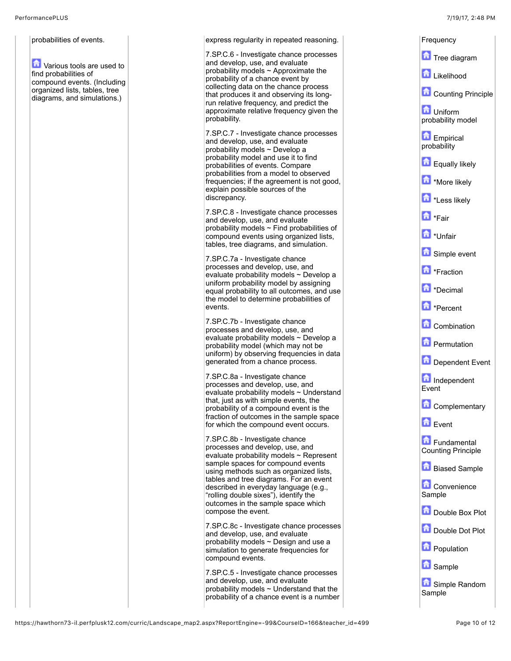## probabilities of events.

**T** Various tools are used to find probabilities of compound events. (Including organized lists, tables, tree diagrams, and simulations.)

express regularity in repeated reasoning. 7.SP.C.6 - Investigate chance processes and develop, use, and evaluate probability models  $\sim$  Approximate the probability of a chance event by collecting data on the chance process that produces it and observing its longrun relative frequency, and predict the approximate relative frequency given the probability. 7.SP.C.7 - Investigate chance processes and develop, use, and evaluate probability models ~ Develop a probability model and use it to find probabilities of events. Compare probabilities from a model to observed frequencies; if the agreement is not good, explain possible sources of the discrepancy. 7.SP.C.8 - Investigate chance processes and develop, use, and evaluate probability models ~ Find probabilities of compound events using organized lists, tables, tree diagrams, and simulation. 7.SP.C.7a - Investigate chance processes and develop, use, and evaluate probability models ~ Develop a uniform probability model by assigning equal probability to all outcomes, and use the model to determine probabilities of events. 7.SP.C.7b - Investigate chance processes and develop, use, and evaluate probability models ~ Develop a probability model (which may not be uniform) by observing frequencies in data generated from a chance process. 7.SP.C.8a - Investigate chance processes and develop, use, and evaluate probability models ~ Understand that, just as with simple events, the probability of a compound event is the fraction of outcomes in the sample space for which the compound event occurs. 7.SP.C.8b - Investigate chance processes and develop, use, and evaluate probability models  $\sim$  Represent sample spaces for compound events using methods such as organized lists, tables and tree diagrams. For an event described in everyday language (e.g., "rolling double sixes"), identify the outcomes in the sample space which compose the event. 7.SP.C.8c - Investigate chance processes and develop, use, and evaluate probability models  $\sim$  Design and use a simulation to generate frequencies for compound events. 7.SP.C.5 - Investigate chance processes and develop, use, and evaluate probability models ~ Understand that the probability of a chance event is a number Frequency **Tree diagram Likelihood Counting Principle La** Uniform probability model Empirical probability **Equally likely More likely h**\*Less likely **h**\*Fair **h**\*Unfair Simple event **h** \*Fraction **h** \*Decimal **h** \*Percent **Combination D** Permutation Dependent Event Independent Event **Complementary Exent** Fundamental Counting Principle **Biased Sample Convenience** Sample Double Box Plot **Double Dot Plot Population B** Sample Simple Random Sample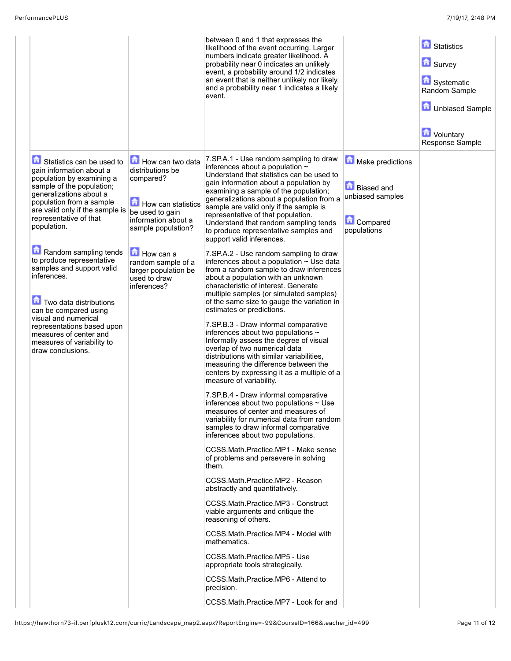|                                                                                                                                                                                                                                                                             |                                                                                                                                                      | between 0 and 1 that expresses the<br>likelihood of the event occurring. Larger<br>numbers indicate greater likelihood. A<br>probability near 0 indicates an unlikely<br>event, a probability around 1/2 indicates<br>an event that is neither unlikely nor likely,<br>and a probability near 1 indicates a likely<br>event.                                                                                                                                                                                                                                                                                                                                                                                                                                                                                                                                                      |                                                                                             | <b>G</b> Statistics<br><b>B</b> Survey<br>Systematic<br>Random Sample<br><b>D</b> Unbiased Sample<br><b>D</b> Voluntary<br>Response Sample |
|-----------------------------------------------------------------------------------------------------------------------------------------------------------------------------------------------------------------------------------------------------------------------------|------------------------------------------------------------------------------------------------------------------------------------------------------|-----------------------------------------------------------------------------------------------------------------------------------------------------------------------------------------------------------------------------------------------------------------------------------------------------------------------------------------------------------------------------------------------------------------------------------------------------------------------------------------------------------------------------------------------------------------------------------------------------------------------------------------------------------------------------------------------------------------------------------------------------------------------------------------------------------------------------------------------------------------------------------|---------------------------------------------------------------------------------------------|--------------------------------------------------------------------------------------------------------------------------------------------|
| Statistics can be used to<br>gain information about a<br>population by examining a<br>sample of the population;<br>generalizations about a<br>population from a sample<br>are valid only if the sample is<br>representative of that<br>population.<br>Random sampling tends | How can two data<br>distributions be<br>compared?<br>How can statistics<br>be used to gain<br>information about a<br>sample population?<br>How can a | 7.SP.A.1 - Use random sampling to draw<br>inferences about a population $\sim$<br>Understand that statistics can be used to<br>gain information about a population by<br>examining a sample of the population;<br>generalizations about a population from a<br>sample are valid only if the sample is<br>representative of that population.<br>Understand that random sampling tends<br>to produce representative samples and<br>support valid inferences.<br>7.SP.A.2 - Use random sampling to draw                                                                                                                                                                                                                                                                                                                                                                              | Make predictions<br><b>Biased and</b><br>unbiased samples<br><b>Compared</b><br>populations |                                                                                                                                            |
| to produce representative<br>samples and support valid<br>inferences.<br>Two data distributions<br>can be compared using<br>visual and numerical<br>representations based upon<br>measures of center and<br>measures of variability to<br>draw conclusions.                 | random sample of a<br>larger population be<br>used to draw<br>inferences?                                                                            | inferences about a population $\sim$ Use data<br>from a random sample to draw inferences<br>about a population with an unknown<br>characteristic of interest. Generate<br>multiple samples (or simulated samples)<br>of the same size to gauge the variation in<br>estimates or predictions.<br>7.SP.B.3 - Draw informal comparative<br>inferences about two populations $\sim$<br>Informally assess the degree of visual<br>overlap of two numerical data<br>distributions with similar variabilities.<br>measuring the difference between the<br>centers by expressing it as a multiple of a<br>measure of variability.<br>7.SP.B.4 - Draw informal comparative<br>inferences about two populations $\sim$ Use<br>measures of center and measures of<br>variability for numerical data from random<br>samples to draw informal comparative<br>inferences about two populations. |                                                                                             |                                                                                                                                            |
|                                                                                                                                                                                                                                                                             |                                                                                                                                                      | CCSS.Math.Practice.MP1 - Make sense<br>of problems and persevere in solving<br>them.<br>CCSS.Math.Practice.MP2 - Reason<br>abstractly and quantitatively.<br>CCSS.Math.Practice.MP3 - Construct<br>viable arguments and critique the<br>reasoning of others.<br>CCSS.Math.Practice.MP4 - Model with<br>mathematics.<br>CCSS.Math.Practice.MP5 - Use<br>appropriate tools strategically.<br>CCSS.Math.Practice.MP6 - Attend to<br>precision.<br>CCSS.Math.Practice.MP7 - Look for and                                                                                                                                                                                                                                                                                                                                                                                              |                                                                                             |                                                                                                                                            |